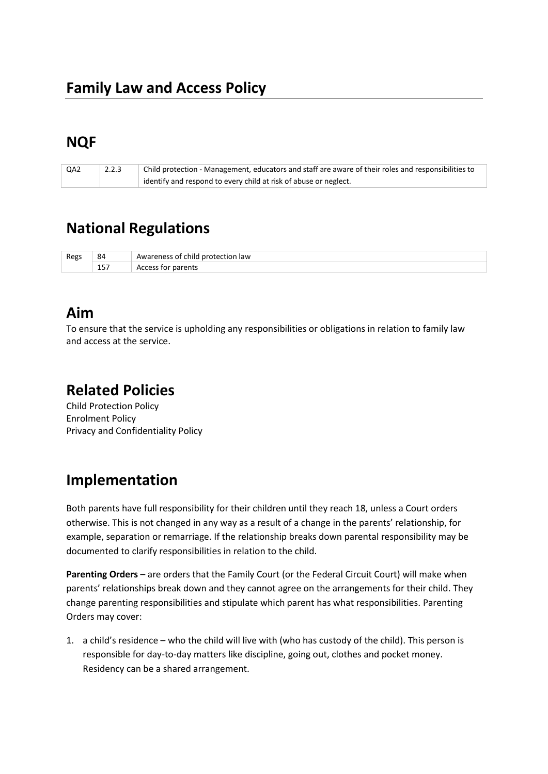# **NQF**

| QA2 | 2.2.3 | $\pm$ Child protection - Management, educators and staff are aware of their roles and responsibilities to |
|-----|-------|-----------------------------------------------------------------------------------------------------------|
|     |       | identify and respond to every child at risk of abuse or neglect.                                          |

## **National Regulations**

| Regs | 84            | child<br>tion law:<br>nroter<br>eness<br>. O I<br>7 a i |
|------|---------------|---------------------------------------------------------|
|      | 1 F -<br>TD 1 | าarents<br>Jd                                           |

#### **Aim**

To ensure that the service is upholding any responsibilities or obligations in relation to family law and access at the service.

#### **Related Policies**

Child Protection Policy Enrolment Policy Privacy and Confidentiality Policy

# **Implementation**

Both parents have full responsibility for their children until they reach 18, unless a Court orders otherwise. This is not changed in any way as a result of a change in the parents' relationship, for example, separation or remarriage. If the relationship breaks down parental responsibility may be documented to clarify responsibilities in relation to the child.

**Parenting Orders** – are orders that the Family Court (or the Federal Circuit Court) will make when parents' relationships break down and they cannot agree on the arrangements for their child. They change parenting responsibilities and stipulate which parent has what responsibilities. Parenting Orders may cover:

1. a child's residence – who the child will live with (who has custody of the child). This person is responsible for day-to-day matters like discipline, going out, clothes and pocket money. Residency can be a shared arrangement.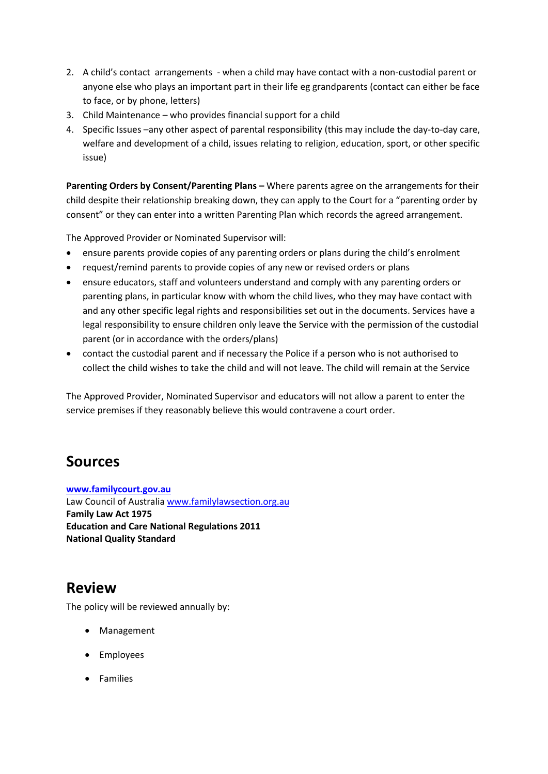- 2. A child's contact arrangements when a child may have contact with a non-custodial parent or anyone else who plays an important part in their life eg grandparents (contact can either be face to face, or by phone, letters)
- 3. Child Maintenance who provides financial support for a child
- 4. Specific Issues –any other aspect of parental responsibility (this may include the day-to-day care, welfare and development of a child, issues relating to religion, education, sport, or other specific issue)

**Parenting Orders by Consent/Parenting Plans –** Where parents agree on the arrangements for their child despite their relationship breaking down, they can apply to the Court for a "parenting order by consent" or they can enter into a written Parenting Plan which records the agreed arrangement.

The Approved Provider or Nominated Supervisor will:

- ensure parents provide copies of any parenting orders or plans during the child's enrolment
- request/remind parents to provide copies of any new or revised orders or plans
- ensure educators, staff and volunteers understand and comply with any parenting orders or parenting plans, in particular know with whom the child lives, who they may have contact with and any other specific legal rights and responsibilities set out in the documents. Services have a legal responsibility to ensure children only leave the Service with the permission of the custodial parent (or in accordance with the orders/plans)
- contact the custodial parent and if necessary the Police if a person who is not authorised to collect the child wishes to take the child and will not leave. The child will remain at the Service

The Approved Provider, Nominated Supervisor and educators will not allow a parent to enter the service premises if they reasonably believe this would contravene a court order.

## **Sources**

**[www.familycourt.gov.au](http://www.familycourt.gov.au/)** Law Council of Australi[a www.familylawsection.org.au](http://www.familylawsection.org.au/) **Family Law Act 1975 Education and Care National Regulations 2011 National Quality Standard**

## **Review**

The policy will be reviewed annually by:

- Management
- Employees
- Families